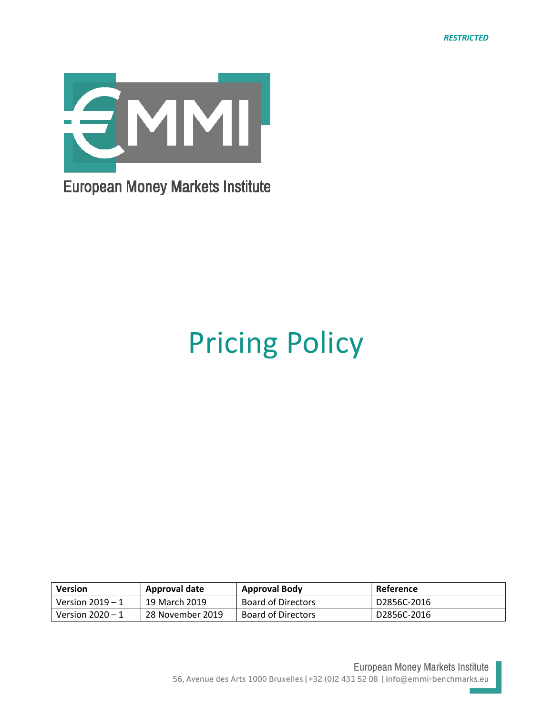

# Pricing Policy

| <b>Version</b>     | Approval date    | <b>Approval Body</b>      | Reference   |
|--------------------|------------------|---------------------------|-------------|
| Version $2019 - 1$ | 19 March 2019    | <b>Board of Directors</b> | D2856C-2016 |
| Version $2020 - 1$ | 28 November 2019 | <b>Board of Directors</b> | D2856C-2016 |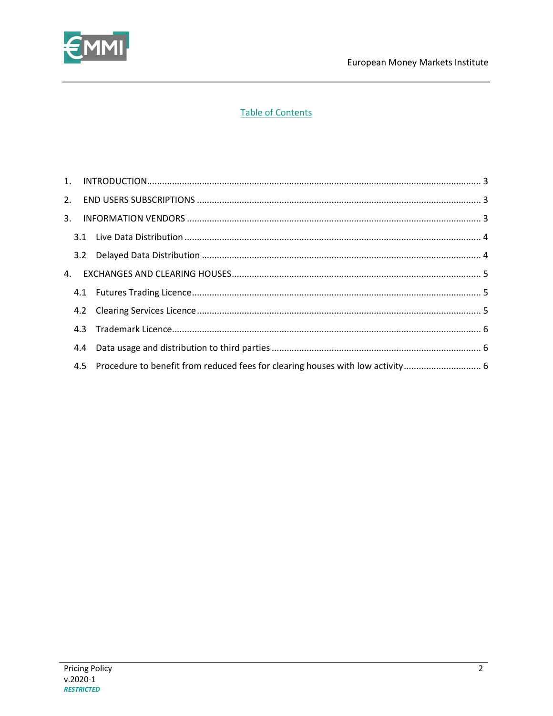

## **Table of Contents**

| 4.4 |                                                                                    |  |
|-----|------------------------------------------------------------------------------------|--|
|     | 4.5 Procedure to benefit from reduced fees for clearing houses with low activity 6 |  |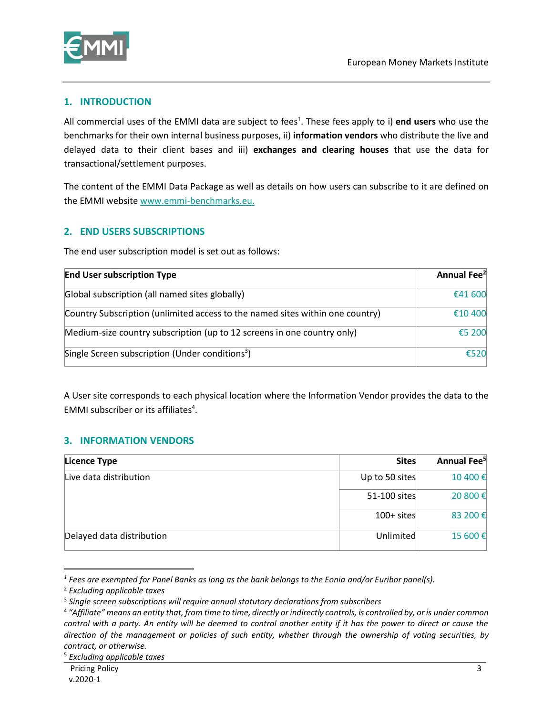

#### <span id="page-2-0"></span>**1. INTRODUCTION**

All commercial uses of the EMMI data are subject to fees<sup>1</sup>. These fees apply to i) end users who use the benchmarks for their own internal business purposes, ii) **information vendors** who distribute the live and delayed data to their client bases and iii) **exchanges and clearing houses** that use the data for transactional/settlement purposes.

The content of the EMMI Data Package as well as details on how users can subscribe to it are defined on the EMMI website [www.emmi-benchmarks.eu.](http://www.emmi-benchmarks.eu/)

#### <span id="page-2-1"></span>**2. END USERS SUBSCRIPTIONS**

The end user subscription model is set out as follows:

| <b>End User subscription Type</b>                                             | Annual Fee <sup>2</sup> |
|-------------------------------------------------------------------------------|-------------------------|
| Global subscription (all named sites globally)                                | €41 600                 |
| Country Subscription (unlimited access to the named sites within one country) | €10 400                 |
| Medium-size country subscription (up to 12 screens in one country only)       | €5 200                  |
| Single Screen subscription (Under conditions <sup>3</sup> )                   | €520                    |

A User site corresponds to each physical location where the Information Vendor provides the data to the EMMI subscriber or its affiliates<sup>4</sup>.

#### <span id="page-2-2"></span>**3. INFORMATION VENDORS**

| Licence Type              | <b>Sites</b>   | Annual Fee <sup>5</sup> |
|---------------------------|----------------|-------------------------|
| Live data distribution    | Up to 50 sites | 10 400€                 |
|                           | 51-100 sites   | 20 800€                 |
|                           | $100+$ sites   | 83 200€                 |
| Delayed data distribution | Unlimited      | 15 600€                 |

*<sup>1</sup> Fees are exempted for Panel Banks as long as the bank belongs to the Eonia and/or Euribor panel(s).*

 $\ddot{\phantom{a}}$ 

<sup>2</sup> *Excluding applicable taxes*

<sup>3</sup> *Single screen subscriptions will require annual statutory declarations from subscribers*

<sup>4</sup> *"Affiliate" means an entity that, from time to time, directly or indirectly controls, is controlled by, or is under common control with a party. An entity will be deemed to control another entity if it has the power to direct or cause the direction of the management or policies of such entity, whether through the ownership of voting securities, by contract, or otherwise.*

<sup>5</sup> *Excluding applicable taxes*

Pricing Policy v.2020-1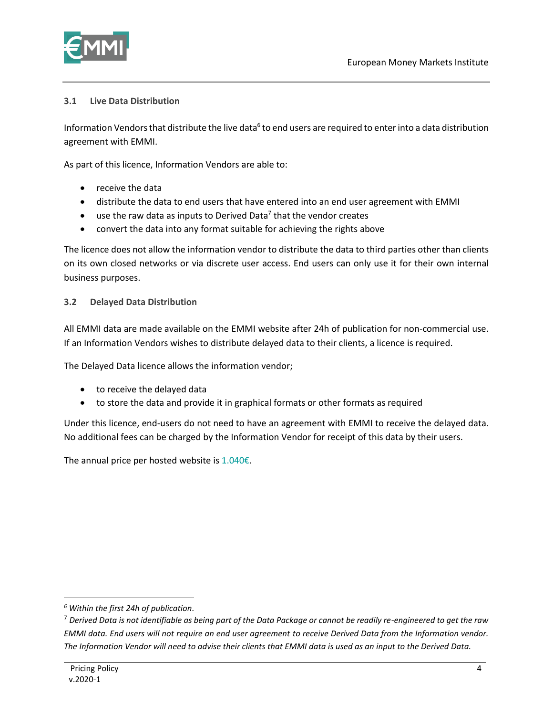

### <span id="page-3-0"></span>**3.1 Live Data Distribution**

Information Vendors that distribute the live data<sup>6</sup> to end users are required to enter into a data distribution agreement with EMMI.

As part of this licence, Information Vendors are able to:

- receive the data
- distribute the data to end users that have entered into an end user agreement with EMMI
- $\bullet$  use the raw data as inputs to Derived Data<sup>7</sup> that the vendor creates
- convert the data into any format suitable for achieving the rights above

The licence does not allow the information vendor to distribute the data to third parties other than clients on its own closed networks or via discrete user access. End users can only use it for their own internal business purposes.

#### <span id="page-3-1"></span>**3.2 Delayed Data Distribution**

All EMMI data are made available on the EMMI website after 24h of publication for non-commercial use. If an Information Vendors wishes to distribute delayed data to their clients, a licence is required.

The Delayed Data licence allows the information vendor;

- to receive the delayed data
- to store the data and provide it in graphical formats or other formats as required

Under this licence, end-users do not need to have an agreement with EMMI to receive the delayed data. No additional fees can be charged by the Information Vendor for receipt of this data by their users.

The annual price per hosted website is  $1.040\epsilon$ .

 $\ddot{\phantom{a}}$ *<sup>6</sup> Within the first 24h of publication.*

<sup>7</sup> *Derived Data is not identifiable as being part of the Data Package or cannot be readily re-engineered to get the raw EMMI data. End users will not require an end user agreement to receive Derived Data from the Information vendor. The Information Vendor will need to advise their clients that EMMI data is used as an input to the Derived Data.*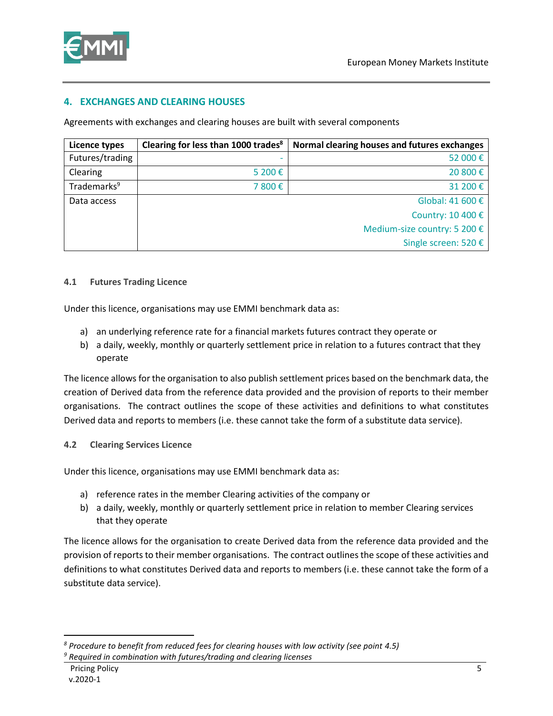

#### <span id="page-4-0"></span>**4. EXCHANGES AND CLEARING HOUSES**

Agreements with exchanges and clearing houses are built with several components

| Licence types           | Clearing for less than 1000 trades <sup>8</sup> | Normal clearing houses and futures exchanges |
|-------------------------|-------------------------------------------------|----------------------------------------------|
| Futures/trading         |                                                 | 52 000€                                      |
| Clearing                | 5 200€                                          | 20 800€                                      |
| Trademarks <sup>9</sup> | 7 800€                                          | 31 200€                                      |
| Data access             |                                                 | Global: 41 600 €                             |
|                         |                                                 | Country: 10 400 €                            |
|                         |                                                 | Medium-size country: 5 200 €                 |
|                         |                                                 | Single screen: 520 €                         |

#### <span id="page-4-1"></span>**4.1 Futures Trading Licence**

Under this licence, organisations may use EMMI benchmark data as:

- a) an underlying reference rate for a financial markets futures contract they operate or
- b) a daily, weekly, monthly or quarterly settlement price in relation to a futures contract that they operate

The licence allows for the organisation to also publish settlement prices based on the benchmark data, the creation of Derived data from the reference data provided and the provision of reports to their member organisations. The contract outlines the scope of these activities and definitions to what constitutes Derived data and reports to members (i.e. these cannot take the form of a substitute data service).

#### <span id="page-4-2"></span>**4.2 Clearing Services Licence**

Under this licence, organisations may use EMMI benchmark data as:

- a) reference rates in the member Clearing activities of the company or
- b) a daily, weekly, monthly or quarterly settlement price in relation to member Clearing services that they operate

The licence allows for the organisation to create Derived data from the reference data provided and the provision of reports to their member organisations. The contract outlines the scope of these activities and definitions to what constitutes Derived data and reports to members (i.e. these cannot take the form of a substitute data service).

 $\overline{a}$ 

*<sup>8</sup> Procedure to benefit from reduced fees for clearing houses with low activity (see point 4.5) <sup>9</sup> Required in combination with futures/trading and clearing licenses*